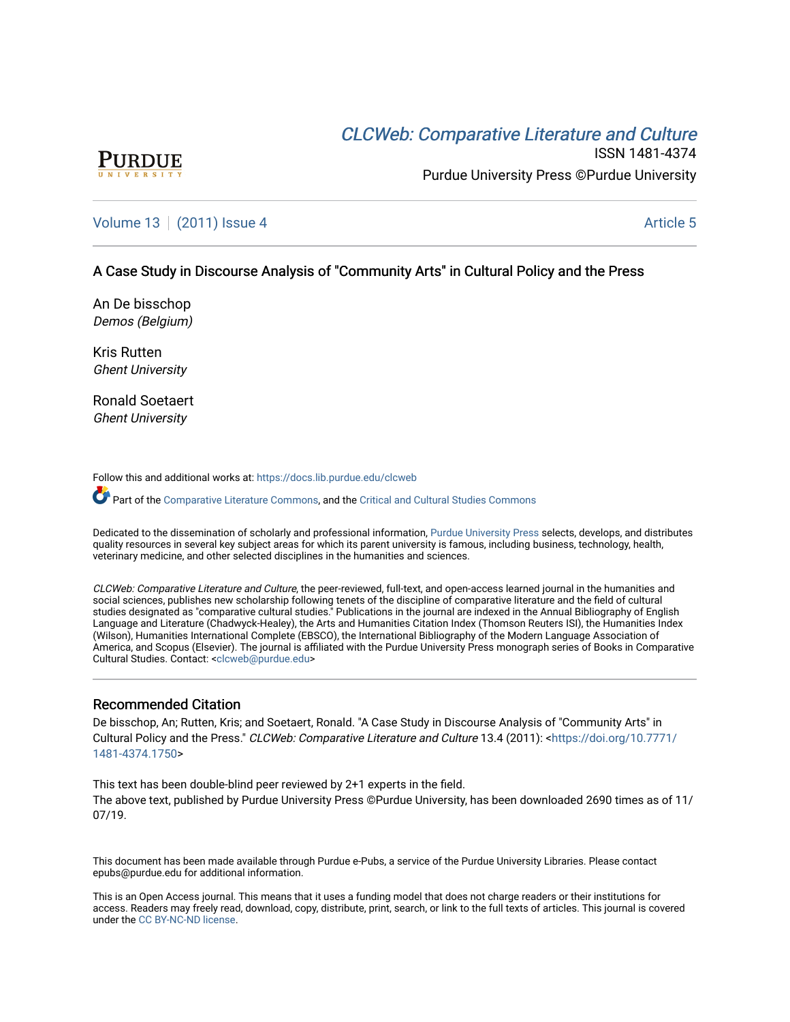# CLCW[eb: Comparative Liter](https://docs.lib.purdue.edu/clcweb)ature and Culture



ISSN 1481-4374 Purdue University Press ©Purdue University

## [Volume 13](https://docs.lib.purdue.edu/clcweb/vol13) | [\(2011\) Issue 4](https://docs.lib.purdue.edu/clcweb/vol13/iss4) Article 5

### A Case Study in Discourse Analysis of "Community Arts" in Cultural Policy and the Press

An De bisschop Demos (Belgium)

Kris Rutten Ghent University

Ronald Soetaert Ghent University

Follow this and additional works at: [https://docs.lib.purdue.edu/clcweb](https://docs.lib.purdue.edu/clcweb?utm_source=docs.lib.purdue.edu%2Fclcweb%2Fvol13%2Fiss4%2F5&utm_medium=PDF&utm_campaign=PDFCoverPages)

Part of the [Comparative Literature Commons,](http://network.bepress.com/hgg/discipline/454?utm_source=docs.lib.purdue.edu%2Fclcweb%2Fvol13%2Fiss4%2F5&utm_medium=PDF&utm_campaign=PDFCoverPages) and the Critical and Cultural Studies Commons

Dedicated to the dissemination of scholarly and professional information, [Purdue University Press](http://www.thepress.purdue.edu/) selects, develops, and distributes quality resources in several key subject areas for which its parent university is famous, including business, technology, health, veterinary medicine, and other selected disciplines in the humanities and sciences.

CLCWeb: Comparative Literature and Culture, the peer-reviewed, full-text, and open-access learned journal in the humanities and social sciences, publishes new scholarship following tenets of the discipline of comparative literature and the field of cultural studies designated as "comparative cultural studies." Publications in the journal are indexed in the Annual Bibliography of English Language and Literature (Chadwyck-Healey), the Arts and Humanities Citation Index (Thomson Reuters ISI), the Humanities Index (Wilson), Humanities International Complete (EBSCO), the International Bibliography of the Modern Language Association of America, and Scopus (Elsevier). The journal is affiliated with the Purdue University Press monograph series of Books in Comparative Cultural Studies. Contact: [<clcweb@purdue.edu](mailto:clcweb@purdue.edu)>

#### Recommended Citation

De bisschop, An; Rutten, Kris; and Soetaert, Ronald. "A Case Study in Discourse Analysis of "Community Arts" in Cultural Policy and the Press." CLCWeb: Comparative Literature and Culture 13.4 (2011): <[https://doi.org/10.7771/](https://doi.org/10.7771/1481-4374.1750) [1481-4374.1750](https://doi.org/10.7771/1481-4374.1750)>

This text has been double-blind peer reviewed by 2+1 experts in the field. The above text, published by Purdue University Press ©Purdue University, has been downloaded 2690 times as of 11/ 07/19.

This document has been made available through Purdue e-Pubs, a service of the Purdue University Libraries. Please contact epubs@purdue.edu for additional information.

This is an Open Access journal. This means that it uses a funding model that does not charge readers or their institutions for access. Readers may freely read, download, copy, distribute, print, search, or link to the full texts of articles. This journal is covered under the [CC BY-NC-ND license.](https://creativecommons.org/licenses/by-nc-nd/4.0/)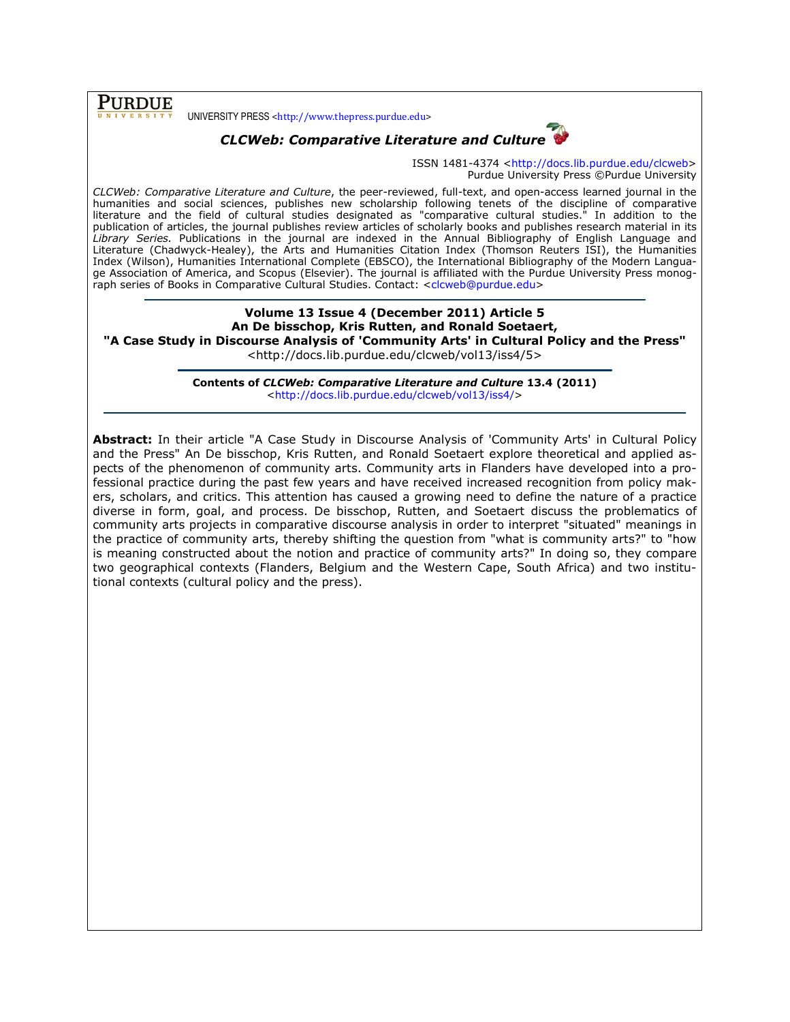**PURDUE** 

UNIVERSITY PRESS <http://www.thepress.purdue.edu>



ISSN 1481-4374 <http://docs.lib.purdue.edu/clcweb> Purdue University Press ©Purdue University

CLCWeb: Comparative Literature and Culture, the peer-reviewed, full-text, and open-access learned journal in the humanities and social sciences, publishes new scholarship following tenets of the discipline of comparative literature and the field of cultural studies designated as "comparative cultural studies." In addition to the publication of articles, the journal publishes review articles of scholarly books and publishes research material in its Library Series. Publications in the journal are indexed in the Annual Bibliography of English Language and Literature (Chadwyck-Healey), the Arts and Humanities Citation Index (Thomson Reuters ISI), the Humanities Index (Wilson), Humanities International Complete (EBSCO), the International Bibliography of the Modern Language Association of America, and Scopus (Elsevier). The journal is affiliated with the Purdue University Press monograph series of Books in Comparative Cultural Studies. Contact: <clcweb@purdue.edu>

Volume 13 Issue 4 (December 2011) Article 5 An De bisschop, Kris Rutten, and Ronald Soetaert, "A Case Study in Discourse Analysis of 'Community Arts' in Cultural Policy and the Press" <http://docs.lib.purdue.edu/clcweb/vol13/iss4/5>

> Contents of CLCWeb: Comparative Literature and Culture 13.4 (2011) <http://docs.lib.purdue.edu/clcweb/vol13/iss4/>

Abstract: In their article "A Case Study in Discourse Analysis of 'Community Arts' in Cultural Policy and the Press" An De bisschop, Kris Rutten, and Ronald Soetaert explore theoretical and applied aspects of the phenomenon of community arts. Community arts in Flanders have developed into a professional practice during the past few years and have received increased recognition from policy makers, scholars, and critics. This attention has caused a growing need to define the nature of a practice diverse in form, goal, and process. De bisschop, Rutten, and Soetaert discuss the problematics of community arts projects in comparative discourse analysis in order to interpret "situated" meanings in the practice of community arts, thereby shifting the question from "what is community arts?" to "how is meaning constructed about the notion and practice of community arts?" In doing so, they compare two geographical contexts (Flanders, Belgium and the Western Cape, South Africa) and two institutional contexts (cultural policy and the press).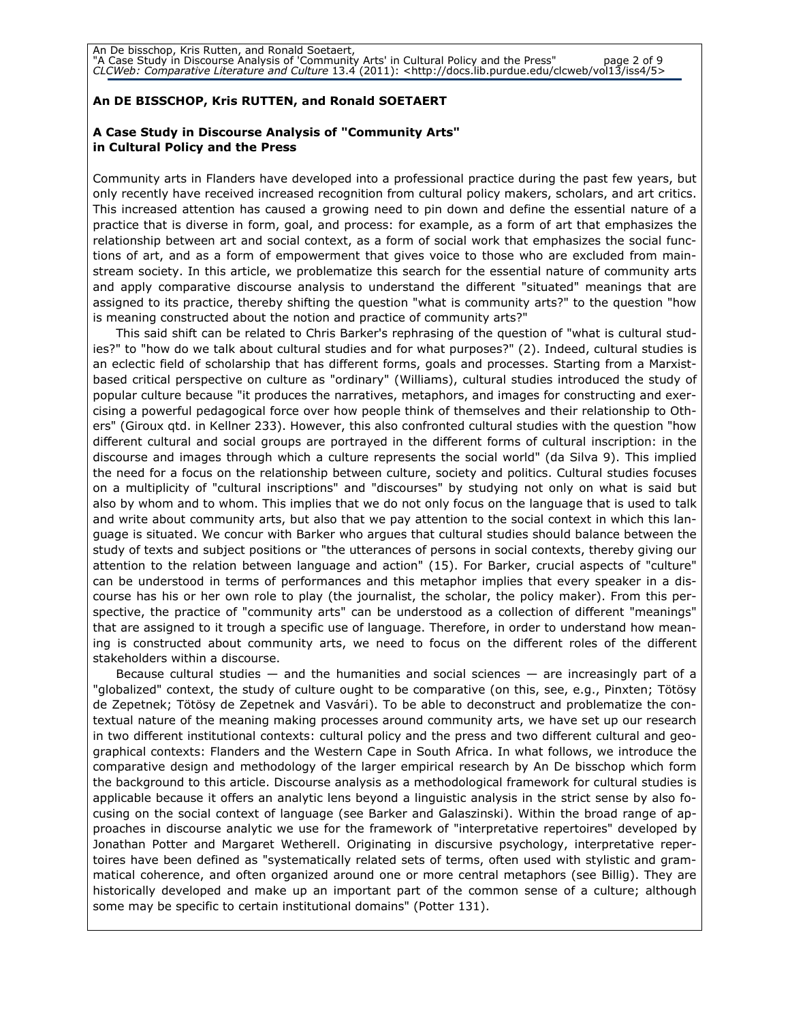### An DE BISSCHOP, Kris RUTTEN, and Ronald SOETAERT

#### A Case Study in Discourse Analysis of "Community Arts" in Cultural Policy and the Press

Community arts in Flanders have developed into a professional practice during the past few years, but only recently have received increased recognition from cultural policy makers, scholars, and art critics. This increased attention has caused a growing need to pin down and define the essential nature of a practice that is diverse in form, goal, and process: for example, as a form of art that emphasizes the relationship between art and social context, as a form of social work that emphasizes the social functions of art, and as a form of empowerment that gives voice to those who are excluded from mainstream society. In this article, we problematize this search for the essential nature of community arts and apply comparative discourse analysis to understand the different "situated" meanings that are assigned to its practice, thereby shifting the question "what is community arts?" to the question "how is meaning constructed about the notion and practice of community arts?"

This said shift can be related to Chris Barker's rephrasing of the question of "what is cultural studies?" to "how do we talk about cultural studies and for what purposes?" (2). Indeed, cultural studies is an eclectic field of scholarship that has different forms, goals and processes. Starting from a Marxistbased critical perspective on culture as "ordinary" (Williams), cultural studies introduced the study of popular culture because "it produces the narratives, metaphors, and images for constructing and exercising a powerful pedagogical force over how people think of themselves and their relationship to Others" (Giroux qtd. in Kellner 233). However, this also confronted cultural studies with the question "how different cultural and social groups are portrayed in the different forms of cultural inscription: in the discourse and images through which a culture represents the social world" (da Silva 9). This implied the need for a focus on the relationship between culture, society and politics. Cultural studies focuses on a multiplicity of "cultural inscriptions" and "discourses" by studying not only on what is said but also by whom and to whom. This implies that we do not only focus on the language that is used to talk and write about community arts, but also that we pay attention to the social context in which this language is situated. We concur with Barker who argues that cultural studies should balance between the study of texts and subject positions or "the utterances of persons in social contexts, thereby giving our attention to the relation between language and action" (15). For Barker, crucial aspects of "culture" can be understood in terms of performances and this metaphor implies that every speaker in a discourse has his or her own role to play (the journalist, the scholar, the policy maker). From this perspective, the practice of "community arts" can be understood as a collection of different "meanings" that are assigned to it trough a specific use of language. Therefore, in order to understand how meaning is constructed about community arts, we need to focus on the different roles of the different stakeholders within a discourse.

Because cultural studies  $-$  and the humanities and social sciences  $-$  are increasingly part of a "globalized" context, the study of culture ought to be comparative (on this, see, e.g., Pinxten; Tötösy de Zepetnek; Tötösy de Zepetnek and Vasvári). To be able to deconstruct and problematize the contextual nature of the meaning making processes around community arts, we have set up our research in two different institutional contexts: cultural policy and the press and two different cultural and geographical contexts: Flanders and the Western Cape in South Africa. In what follows, we introduce the comparative design and methodology of the larger empirical research by An De bisschop which form the background to this article. Discourse analysis as a methodological framework for cultural studies is applicable because it offers an analytic lens beyond a linguistic analysis in the strict sense by also focusing on the social context of language (see Barker and Galaszinski). Within the broad range of approaches in discourse analytic we use for the framework of "interpretative repertoires" developed by Jonathan Potter and Margaret Wetherell. Originating in discursive psychology, interpretative repertoires have been defined as "systematically related sets of terms, often used with stylistic and grammatical coherence, and often organized around one or more central metaphors (see Billig). They are historically developed and make up an important part of the common sense of a culture; although some may be specific to certain institutional domains" (Potter 131).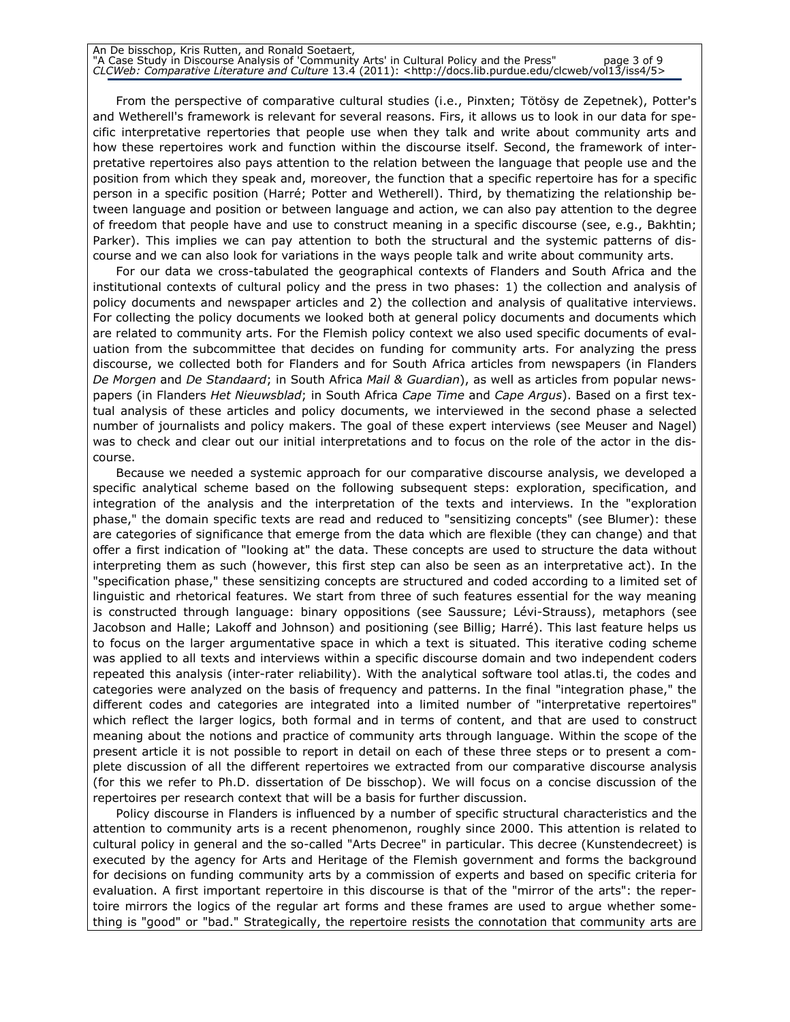| An De bisschop, Kris Rutten, and Ronald Soetaert,                                                                              |             |
|--------------------------------------------------------------------------------------------------------------------------------|-------------|
| "A Case Study in Discourse Analysis of 'Community Arts' in Cultural Policy and the Press"                                      | page 3 of 9 |
| CLCWeb: Comparative Literature and Culture 13.4 (2011): <http: 5="" clcweb="" docs.lib.purdue.edu="" iss4="" vol13=""></http:> |             |

From the perspective of comparative cultural studies (i.e., Pinxten; Tötösy de Zepetnek), Potter's and Wetherell's framework is relevant for several reasons. Firs, it allows us to look in our data for specific interpretative repertories that people use when they talk and write about community arts and how these repertoires work and function within the discourse itself. Second, the framework of interpretative repertoires also pays attention to the relation between the language that people use and the position from which they speak and, moreover, the function that a specific repertoire has for a specific person in a specific position (Harré; Potter and Wetherell). Third, by thematizing the relationship between language and position or between language and action, we can also pay attention to the degree of freedom that people have and use to construct meaning in a specific discourse (see, e.g., Bakhtin; Parker). This implies we can pay attention to both the structural and the systemic patterns of discourse and we can also look for variations in the ways people talk and write about community arts.

For our data we cross-tabulated the geographical contexts of Flanders and South Africa and the institutional contexts of cultural policy and the press in two phases: 1) the collection and analysis of policy documents and newspaper articles and 2) the collection and analysis of qualitative interviews. For collecting the policy documents we looked both at general policy documents and documents which are related to community arts. For the Flemish policy context we also used specific documents of evaluation from the subcommittee that decides on funding for community arts. For analyzing the press discourse, we collected both for Flanders and for South Africa articles from newspapers (in Flanders De Morgen and De Standaard; in South Africa Mail & Guardian), as well as articles from popular newspapers (in Flanders Het Nieuwsblad; in South Africa Cape Time and Cape Argus). Based on a first textual analysis of these articles and policy documents, we interviewed in the second phase a selected number of journalists and policy makers. The goal of these expert interviews (see Meuser and Nagel) was to check and clear out our initial interpretations and to focus on the role of the actor in the discourse.

Because we needed a systemic approach for our comparative discourse analysis, we developed a specific analytical scheme based on the following subsequent steps: exploration, specification, and integration of the analysis and the interpretation of the texts and interviews. In the "exploration phase," the domain specific texts are read and reduced to "sensitizing concepts" (see Blumer): these are categories of significance that emerge from the data which are flexible (they can change) and that offer a first indication of "looking at" the data. These concepts are used to structure the data without interpreting them as such (however, this first step can also be seen as an interpretative act). In the "specification phase," these sensitizing concepts are structured and coded according to a limited set of linguistic and rhetorical features. We start from three of such features essential for the way meaning is constructed through language: binary oppositions (see Saussure; Lévi-Strauss), metaphors (see Jacobson and Halle; Lakoff and Johnson) and positioning (see Billig; Harré). This last feature helps us to focus on the larger argumentative space in which a text is situated. This iterative coding scheme was applied to all texts and interviews within a specific discourse domain and two independent coders repeated this analysis (inter-rater reliability). With the analytical software tool atlas.ti, the codes and categories were analyzed on the basis of frequency and patterns. In the final "integration phase," the different codes and categories are integrated into a limited number of "interpretative repertoires" which reflect the larger logics, both formal and in terms of content, and that are used to construct meaning about the notions and practice of community arts through language. Within the scope of the present article it is not possible to report in detail on each of these three steps or to present a complete discussion of all the different repertoires we extracted from our comparative discourse analysis (for this we refer to Ph.D. dissertation of De bisschop). We will focus on a concise discussion of the repertoires per research context that will be a basis for further discussion.

Policy discourse in Flanders is influenced by a number of specific structural characteristics and the attention to community arts is a recent phenomenon, roughly since 2000. This attention is related to cultural policy in general and the so-called "Arts Decree" in particular. This decree (Kunstendecreet) is executed by the agency for Arts and Heritage of the Flemish government and forms the background for decisions on funding community arts by a commission of experts and based on specific criteria for evaluation. A first important repertoire in this discourse is that of the "mirror of the arts": the repertoire mirrors the logics of the regular art forms and these frames are used to argue whether something is "good" or "bad." Strategically, the repertoire resists the connotation that community arts are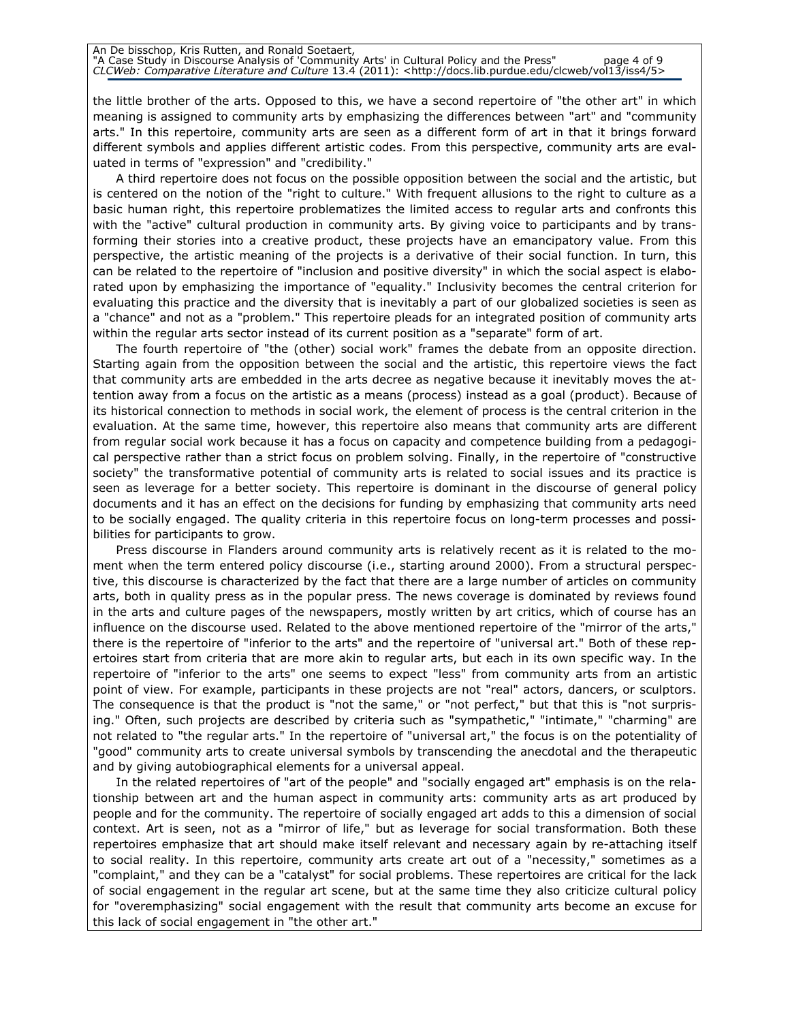#### An De bisschop, Kris Rutten, and Ronald Soetaert, "A Case Study in Discourse Analysis of 'Community Arts' in Cultural Policy and the Press" page 4 of 9 CLCWeb: Comparative Literature and Culture 13.4 (2011): <http://docs.lib.purdue.edu/clcweb/vol13/iss4/5>

the little brother of the arts. Opposed to this, we have a second repertoire of "the other art" in which meaning is assigned to community arts by emphasizing the differences between "art" and "community arts." In this repertoire, community arts are seen as a different form of art in that it brings forward different symbols and applies different artistic codes. From this perspective, community arts are evaluated in terms of "expression" and "credibility."

A third repertoire does not focus on the possible opposition between the social and the artistic, but is centered on the notion of the "right to culture." With frequent allusions to the right to culture as a basic human right, this repertoire problematizes the limited access to regular arts and confronts this with the "active" cultural production in community arts. By giving voice to participants and by transforming their stories into a creative product, these projects have an emancipatory value. From this perspective, the artistic meaning of the projects is a derivative of their social function. In turn, this can be related to the repertoire of "inclusion and positive diversity" in which the social aspect is elaborated upon by emphasizing the importance of "equality." Inclusivity becomes the central criterion for evaluating this practice and the diversity that is inevitably a part of our globalized societies is seen as a "chance" and not as a "problem." This repertoire pleads for an integrated position of community arts within the regular arts sector instead of its current position as a "separate" form of art.

The fourth repertoire of "the (other) social work" frames the debate from an opposite direction. Starting again from the opposition between the social and the artistic, this repertoire views the fact that community arts are embedded in the arts decree as negative because it inevitably moves the attention away from a focus on the artistic as a means (process) instead as a goal (product). Because of its historical connection to methods in social work, the element of process is the central criterion in the evaluation. At the same time, however, this repertoire also means that community arts are different from regular social work because it has a focus on capacity and competence building from a pedagogical perspective rather than a strict focus on problem solving. Finally, in the repertoire of "constructive society" the transformative potential of community arts is related to social issues and its practice is seen as leverage for a better society. This repertoire is dominant in the discourse of general policy documents and it has an effect on the decisions for funding by emphasizing that community arts need to be socially engaged. The quality criteria in this repertoire focus on long-term processes and possibilities for participants to grow.

Press discourse in Flanders around community arts is relatively recent as it is related to the moment when the term entered policy discourse (i.e., starting around 2000). From a structural perspective, this discourse is characterized by the fact that there are a large number of articles on community arts, both in quality press as in the popular press. The news coverage is dominated by reviews found in the arts and culture pages of the newspapers, mostly written by art critics, which of course has an influence on the discourse used. Related to the above mentioned repertoire of the "mirror of the arts," there is the repertoire of "inferior to the arts" and the repertoire of "universal art." Both of these repertoires start from criteria that are more akin to regular arts, but each in its own specific way. In the repertoire of "inferior to the arts" one seems to expect "less" from community arts from an artistic point of view. For example, participants in these projects are not "real" actors, dancers, or sculptors. The consequence is that the product is "not the same," or "not perfect," but that this is "not surprising." Often, such projects are described by criteria such as "sympathetic," "intimate," "charming" are not related to "the regular arts." In the repertoire of "universal art," the focus is on the potentiality of "good" community arts to create universal symbols by transcending the anecdotal and the therapeutic and by giving autobiographical elements for a universal appeal.

In the related repertoires of "art of the people" and "socially engaged art" emphasis is on the relationship between art and the human aspect in community arts: community arts as art produced by people and for the community. The repertoire of socially engaged art adds to this a dimension of social context. Art is seen, not as a "mirror of life," but as leverage for social transformation. Both these repertoires emphasize that art should make itself relevant and necessary again by re-attaching itself to social reality. In this repertoire, community arts create art out of a "necessity," sometimes as a "complaint," and they can be a "catalyst" for social problems. These repertoires are critical for the lack of social engagement in the regular art scene, but at the same time they also criticize cultural policy for "overemphasizing" social engagement with the result that community arts become an excuse for this lack of social engagement in "the other art."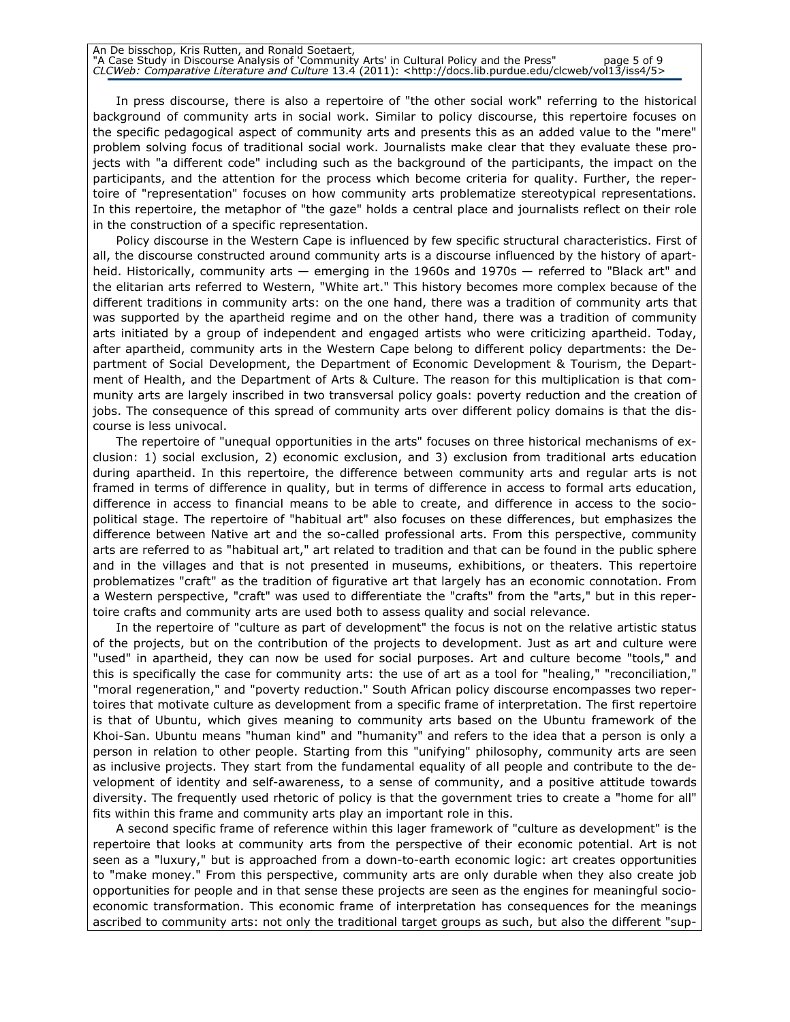In press discourse, there is also a repertoire of "the other social work" referring to the historical background of community arts in social work. Similar to policy discourse, this repertoire focuses on the specific pedagogical aspect of community arts and presents this as an added value to the "mere" problem solving focus of traditional social work. Journalists make clear that they evaluate these projects with "a different code" including such as the background of the participants, the impact on the participants, and the attention for the process which become criteria for quality. Further, the repertoire of "representation" focuses on how community arts problematize stereotypical representations. In this repertoire, the metaphor of "the gaze" holds a central place and journalists reflect on their role in the construction of a specific representation.

Policy discourse in the Western Cape is influenced by few specific structural characteristics. First of all, the discourse constructed around community arts is a discourse influenced by the history of apartheid. Historically, community arts — emerging in the 1960s and 1970s — referred to "Black art" and the elitarian arts referred to Western, "White art." This history becomes more complex because of the different traditions in community arts: on the one hand, there was a tradition of community arts that was supported by the apartheid regime and on the other hand, there was a tradition of community arts initiated by a group of independent and engaged artists who were criticizing apartheid. Today, after apartheid, community arts in the Western Cape belong to different policy departments: the Department of Social Development, the Department of Economic Development & Tourism, the Department of Health, and the Department of Arts & Culture. The reason for this multiplication is that community arts are largely inscribed in two transversal policy goals: poverty reduction and the creation of jobs. The consequence of this spread of community arts over different policy domains is that the discourse is less univocal.

The repertoire of "unequal opportunities in the arts" focuses on three historical mechanisms of exclusion: 1) social exclusion, 2) economic exclusion, and 3) exclusion from traditional arts education during apartheid. In this repertoire, the difference between community arts and regular arts is not framed in terms of difference in quality, but in terms of difference in access to formal arts education, difference in access to financial means to be able to create, and difference in access to the sociopolitical stage. The repertoire of "habitual art" also focuses on these differences, but emphasizes the difference between Native art and the so-called professional arts. From this perspective, community arts are referred to as "habitual art," art related to tradition and that can be found in the public sphere and in the villages and that is not presented in museums, exhibitions, or theaters. This repertoire problematizes "craft" as the tradition of figurative art that largely has an economic connotation. From a Western perspective, "craft" was used to differentiate the "crafts" from the "arts," but in this repertoire crafts and community arts are used both to assess quality and social relevance.

In the repertoire of "culture as part of development" the focus is not on the relative artistic status of the projects, but on the contribution of the projects to development. Just as art and culture were "used" in apartheid, they can now be used for social purposes. Art and culture become "tools," and this is specifically the case for community arts: the use of art as a tool for "healing," "reconciliation," "moral regeneration," and "poverty reduction." South African policy discourse encompasses two repertoires that motivate culture as development from a specific frame of interpretation. The first repertoire is that of Ubuntu, which gives meaning to community arts based on the Ubuntu framework of the Khoi-San. Ubuntu means "human kind" and "humanity" and refers to the idea that a person is only a person in relation to other people. Starting from this "unifying" philosophy, community arts are seen as inclusive projects. They start from the fundamental equality of all people and contribute to the development of identity and self-awareness, to a sense of community, and a positive attitude towards diversity. The frequently used rhetoric of policy is that the government tries to create a "home for all" fits within this frame and community arts play an important role in this.

A second specific frame of reference within this lager framework of "culture as development" is the repertoire that looks at community arts from the perspective of their economic potential. Art is not seen as a "luxury," but is approached from a down-to-earth economic logic: art creates opportunities to "make money." From this perspective, community arts are only durable when they also create job opportunities for people and in that sense these projects are seen as the engines for meaningful socioeconomic transformation. This economic frame of interpretation has consequences for the meanings ascribed to community arts: not only the traditional target groups as such, but also the different "sup-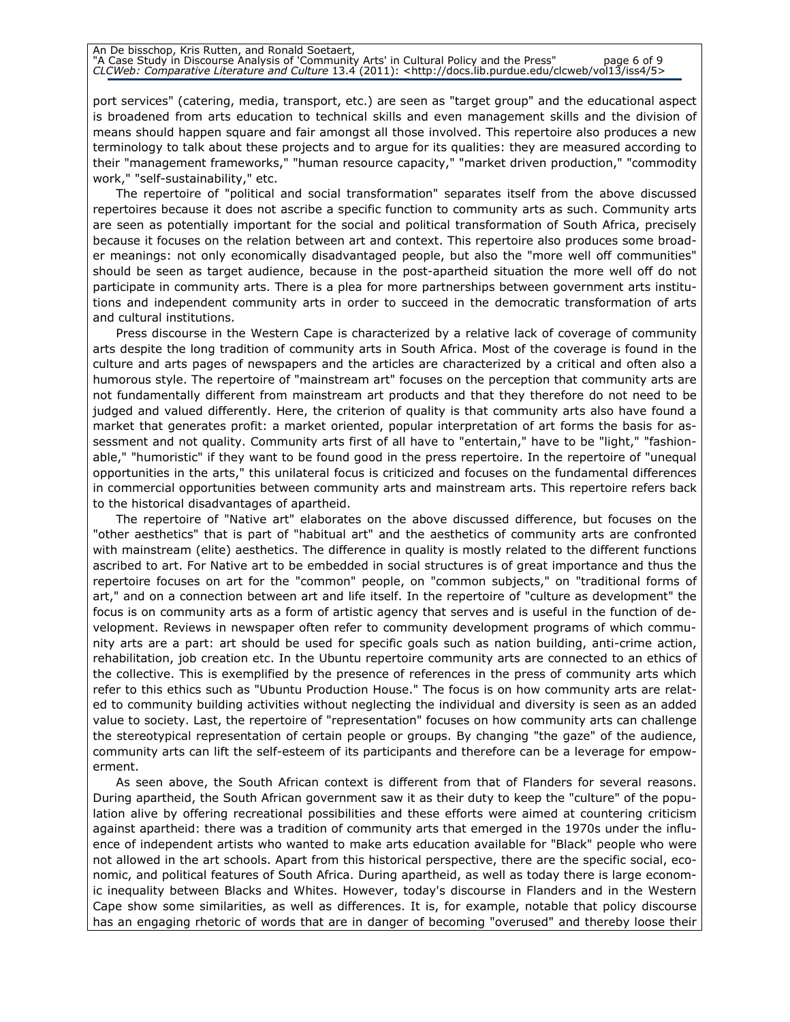port services" (catering, media, transport, etc.) are seen as "target group" and the educational aspect is broadened from arts education to technical skills and even management skills and the division of means should happen square and fair amongst all those involved. This repertoire also produces a new terminology to talk about these projects and to argue for its qualities: they are measured according to their "management frameworks," "human resource capacity," "market driven production," "commodity work," "self-sustainability," etc.

The repertoire of "political and social transformation" separates itself from the above discussed repertoires because it does not ascribe a specific function to community arts as such. Community arts are seen as potentially important for the social and political transformation of South Africa, precisely because it focuses on the relation between art and context. This repertoire also produces some broader meanings: not only economically disadvantaged people, but also the "more well off communities" should be seen as target audience, because in the post-apartheid situation the more well off do not participate in community arts. There is a plea for more partnerships between government arts institutions and independent community arts in order to succeed in the democratic transformation of arts and cultural institutions.

Press discourse in the Western Cape is characterized by a relative lack of coverage of community arts despite the long tradition of community arts in South Africa. Most of the coverage is found in the culture and arts pages of newspapers and the articles are characterized by a critical and often also a humorous style. The repertoire of "mainstream art" focuses on the perception that community arts are not fundamentally different from mainstream art products and that they therefore do not need to be judged and valued differently. Here, the criterion of quality is that community arts also have found a market that generates profit: a market oriented, popular interpretation of art forms the basis for assessment and not quality. Community arts first of all have to "entertain," have to be "light," "fashionable," "humoristic" if they want to be found good in the press repertoire. In the repertoire of "unequal opportunities in the arts," this unilateral focus is criticized and focuses on the fundamental differences in commercial opportunities between community arts and mainstream arts. This repertoire refers back to the historical disadvantages of apartheid.

The repertoire of "Native art" elaborates on the above discussed difference, but focuses on the "other aesthetics" that is part of "habitual art" and the aesthetics of community arts are confronted with mainstream (elite) aesthetics. The difference in quality is mostly related to the different functions ascribed to art. For Native art to be embedded in social structures is of great importance and thus the repertoire focuses on art for the "common" people, on "common subjects," on "traditional forms of art," and on a connection between art and life itself. In the repertoire of "culture as development" the focus is on community arts as a form of artistic agency that serves and is useful in the function of development. Reviews in newspaper often refer to community development programs of which community arts are a part: art should be used for specific goals such as nation building, anti-crime action, rehabilitation, job creation etc. In the Ubuntu repertoire community arts are connected to an ethics of the collective. This is exemplified by the presence of references in the press of community arts which refer to this ethics such as "Ubuntu Production House." The focus is on how community arts are related to community building activities without neglecting the individual and diversity is seen as an added value to society. Last, the repertoire of "representation" focuses on how community arts can challenge the stereotypical representation of certain people or groups. By changing "the gaze" of the audience, community arts can lift the self-esteem of its participants and therefore can be a leverage for empowerment.

As seen above, the South African context is different from that of Flanders for several reasons. During apartheid, the South African government saw it as their duty to keep the "culture" of the population alive by offering recreational possibilities and these efforts were aimed at countering criticism against apartheid: there was a tradition of community arts that emerged in the 1970s under the influence of independent artists who wanted to make arts education available for "Black" people who were not allowed in the art schools. Apart from this historical perspective, there are the specific social, economic, and political features of South Africa. During apartheid, as well as today there is large economic inequality between Blacks and Whites. However, today's discourse in Flanders and in the Western Cape show some similarities, as well as differences. It is, for example, notable that policy discourse has an engaging rhetoric of words that are in danger of becoming "overused" and thereby loose their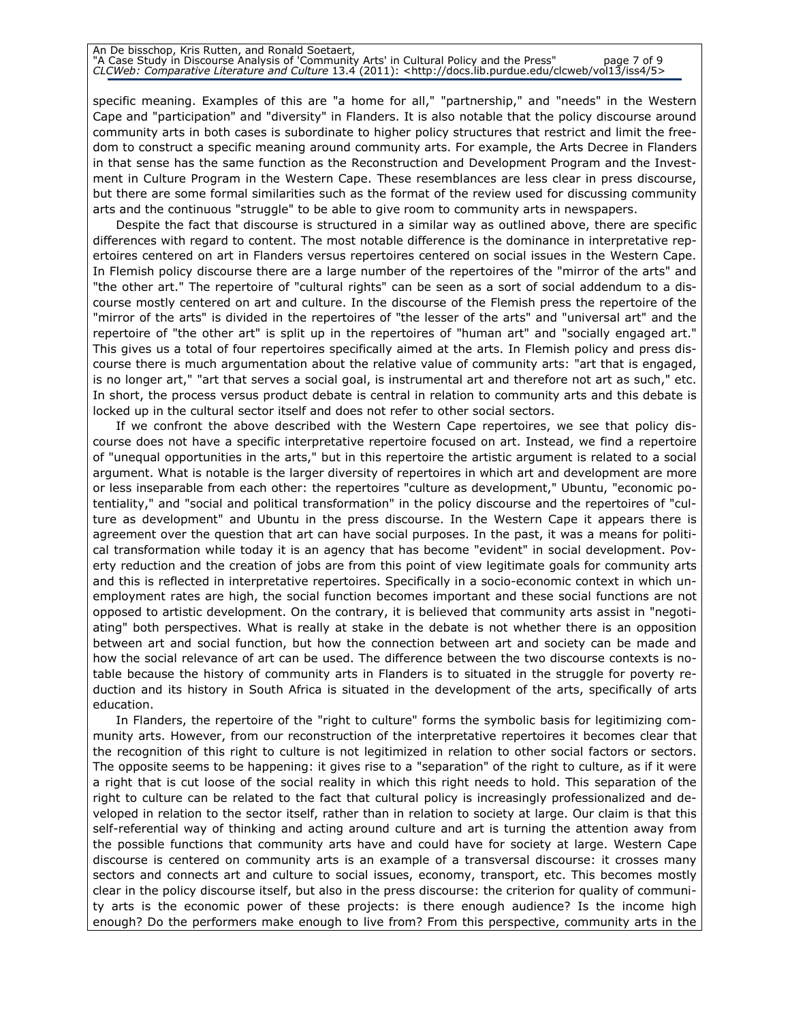#### An De bisschop, Kris Rutten, and Ronald Soetaert, "A Case Study in Discourse Analysis of 'Community Arts' in Cultural Policy and the Press" page 7 of 9 CLCWeb: Comparative Literature and Culture 13.4 (2011): <http://docs.lib.purdue.edu/clcweb/vol13/iss4/5>

specific meaning. Examples of this are "a home for all," "partnership," and "needs" in the Western Cape and "participation" and "diversity" in Flanders. It is also notable that the policy discourse around community arts in both cases is subordinate to higher policy structures that restrict and limit the freedom to construct a specific meaning around community arts. For example, the Arts Decree in Flanders in that sense has the same function as the Reconstruction and Development Program and the Investment in Culture Program in the Western Cape. These resemblances are less clear in press discourse, but there are some formal similarities such as the format of the review used for discussing community arts and the continuous "struggle" to be able to give room to community arts in newspapers.

Despite the fact that discourse is structured in a similar way as outlined above, there are specific differences with regard to content. The most notable difference is the dominance in interpretative repertoires centered on art in Flanders versus repertoires centered on social issues in the Western Cape. In Flemish policy discourse there are a large number of the repertoires of the "mirror of the arts" and "the other art." The repertoire of "cultural rights" can be seen as a sort of social addendum to a discourse mostly centered on art and culture. In the discourse of the Flemish press the repertoire of the "mirror of the arts" is divided in the repertoires of "the lesser of the arts" and "universal art" and the repertoire of "the other art" is split up in the repertoires of "human art" and "socially engaged art." This gives us a total of four repertoires specifically aimed at the arts. In Flemish policy and press discourse there is much argumentation about the relative value of community arts: "art that is engaged, is no longer art," "art that serves a social goal, is instrumental art and therefore not art as such," etc. In short, the process versus product debate is central in relation to community arts and this debate is locked up in the cultural sector itself and does not refer to other social sectors.

If we confront the above described with the Western Cape repertoires, we see that policy discourse does not have a specific interpretative repertoire focused on art. Instead, we find a repertoire of "unequal opportunities in the arts," but in this repertoire the artistic argument is related to a social argument. What is notable is the larger diversity of repertoires in which art and development are more or less inseparable from each other: the repertoires "culture as development," Ubuntu, "economic potentiality," and "social and political transformation" in the policy discourse and the repertoires of "culture as development" and Ubuntu in the press discourse. In the Western Cape it appears there is agreement over the question that art can have social purposes. In the past, it was a means for political transformation while today it is an agency that has become "evident" in social development. Poverty reduction and the creation of jobs are from this point of view legitimate goals for community arts and this is reflected in interpretative repertoires. Specifically in a socio-economic context in which unemployment rates are high, the social function becomes important and these social functions are not opposed to artistic development. On the contrary, it is believed that community arts assist in "negotiating" both perspectives. What is really at stake in the debate is not whether there is an opposition between art and social function, but how the connection between art and society can be made and how the social relevance of art can be used. The difference between the two discourse contexts is notable because the history of community arts in Flanders is to situated in the struggle for poverty reduction and its history in South Africa is situated in the development of the arts, specifically of arts education.

In Flanders, the repertoire of the "right to culture" forms the symbolic basis for legitimizing community arts. However, from our reconstruction of the interpretative repertoires it becomes clear that the recognition of this right to culture is not legitimized in relation to other social factors or sectors. The opposite seems to be happening: it gives rise to a "separation" of the right to culture, as if it were a right that is cut loose of the social reality in which this right needs to hold. This separation of the right to culture can be related to the fact that cultural policy is increasingly professionalized and developed in relation to the sector itself, rather than in relation to society at large. Our claim is that this self-referential way of thinking and acting around culture and art is turning the attention away from the possible functions that community arts have and could have for society at large. Western Cape discourse is centered on community arts is an example of a transversal discourse: it crosses many sectors and connects art and culture to social issues, economy, transport, etc. This becomes mostly clear in the policy discourse itself, but also in the press discourse: the criterion for quality of community arts is the economic power of these projects: is there enough audience? Is the income high enough? Do the performers make enough to live from? From this perspective, community arts in the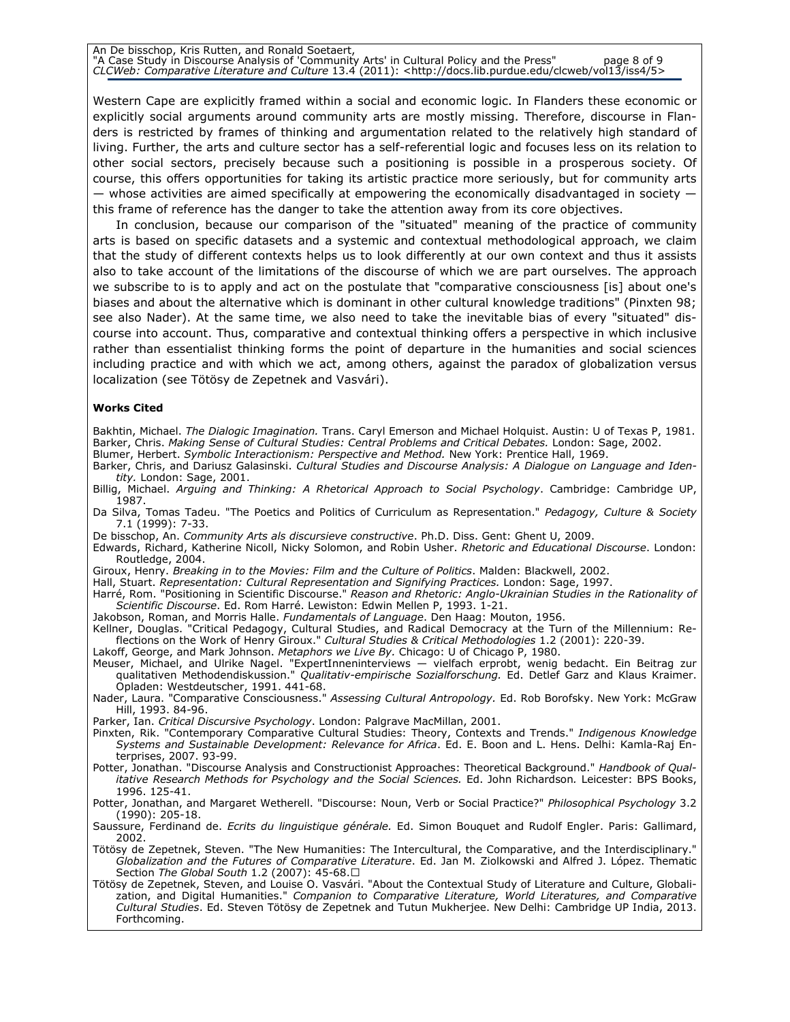An De bisschop, Kris Rutten, and Ronald Soetaert, "A Case Study in Discourse Analysis of 'Community Arts' in Cultural Policy and the Press" page 8 of 9 CLCWeb: Comparative Literature and Culture 13.4 (2011): <http://docs.lib.purdue.edu/clcweb/vol13/iss4/5>

Western Cape are explicitly framed within a social and economic logic. In Flanders these economic or explicitly social arguments around community arts are mostly missing. Therefore, discourse in Flanders is restricted by frames of thinking and argumentation related to the relatively high standard of living. Further, the arts and culture sector has a self-referential logic and focuses less on its relation to other social sectors, precisely because such a positioning is possible in a prosperous society. Of course, this offers opportunities for taking its artistic practice more seriously, but for community arts  $-$  whose activities are aimed specifically at empowering the economically disadvantaged in society  $$ this frame of reference has the danger to take the attention away from its core objectives.

In conclusion, because our comparison of the "situated" meaning of the practice of community arts is based on specific datasets and a systemic and contextual methodological approach, we claim that the study of different contexts helps us to look differently at our own context and thus it assists also to take account of the limitations of the discourse of which we are part ourselves. The approach we subscribe to is to apply and act on the postulate that "comparative consciousness [is] about one's biases and about the alternative which is dominant in other cultural knowledge traditions" (Pinxten 98; see also Nader). At the same time, we also need to take the inevitable bias of every "situated" discourse into account. Thus, comparative and contextual thinking offers a perspective in which inclusive rather than essentialist thinking forms the point of departure in the humanities and social sciences including practice and with which we act, among others, against the paradox of globalization versus localization (see Tötösy de Zepetnek and Vasvári).

#### Works Cited

Bakhtin, Michael. The Dialogic Imagination. Trans. Caryl Emerson and Michael Holquist. Austin: U of Texas P, 1981. Barker, Chris. Making Sense of Cultural Studies: Central Problems and Critical Debates. London: Sage, 2002.

Blumer, Herbert. Symbolic Interactionism: Perspective and Method. New York: Prentice Hall, 1969.

Barker, Chris, and Dariusz Galasinski. Cultural Studies and Discourse Analysis: A Dialogue on Language and Identity. London: Sage, 2001.

Billig, Michael. Arguing and Thinking: A Rhetorical Approach to Social Psychology. Cambridge: Cambridge UP, 1987.

Da Silva, Tomas Tadeu. "The Poetics and Politics of Curriculum as Representation." *Pedagogy, Culture & Society* 7.1 (1999): 7-33.

De bisschop, An. Community Arts als discursieve constructive. Ph.D. Diss. Gent: Ghent U, 2009.

Edwards, Richard, Katherine Nicoll, Nicky Solomon, and Robin Usher. Rhetoric and Educational Discourse. London: Routledge, 2004.

Giroux, Henry. Breaking in to the Movies: Film and the Culture of Politics. Malden: Blackwell, 2002.

Hall, Stuart. Representation: Cultural Representation and Signifying Practices. London: Sage, 1997.

Harré, Rom. "Positioning in Scientific Discourse." Reason and Rhetoric: Anglo-Ukrainian Studies in the Rationality of Scientific Discourse. Ed. Rom Harré. Lewiston: Edwin Mellen P, 1993. 1-21.

Jakobson, Roman, and Morris Halle. Fundamentals of Language. Den Haag: Mouton, 1956.

Kellner, Douglas. "Critical Pedagogy, Cultural Studies, and Radical Democracy at the Turn of the Millennium: Reflections on the Work of Henry Giroux." Cultural Studies & Critical Methodologies 1.2 (2001): 220-39.

Lakoff, George, and Mark Johnson. *Metaphors we Live By.* Chicago: U of Chicago P, 1980.

Meuser, Michael, and Ulrike Nagel. "ExpertInneninterviews — vielfach erprobt, wenig bedacht. Ein Beitrag zur qualitativen Methodendiskussion." Qualitativ-empirische Sozialforschung. Ed. Detlef Garz and Klaus Kraimer. Opladen: Westdeutscher, 1991. 441-68.

Nader, Laura. "Comparative Consciousness." Assessing Cultural Antropology. Ed. Rob Borofsky. New York: McGraw Hill, 1993. 84-96.

Parker, Ian. Critical Discursive Psychology. London: Palgrave MacMillan, 2001.

Pinxten, Rik. "Contemporary Comparative Cultural Studies: Theory, Contexts and Trends." Indigenous Knowledge Systems and Sustainable Development: Relevance for Africa. Ed. E. Boon and L. Hens. Delhi: Kamla-Raj Enterprises, 2007. 93-99.

Potter, Jonathan. "Discourse Analysis and Constructionist Approaches: Theoretical Background." Handbook of Qualitative Research Methods for Psychology and the Social Sciences. Ed. John Richardson. Leicester: BPS Books, 1996. 125-41.

Potter, Jonathan, and Margaret Wetherell. "Discourse: Noun, Verb or Social Practice?" Philosophical Psychology 3.2 (1990): 205-18.

Saussure, Ferdinand de. *Ecrits du linguistique générale.* Ed. Simon Bouquet and Rudolf Engler. Paris: Gallimard, 2002.

Tötösy de Zepetnek, Steven. "The New Humanities: The Intercultural, the Comparative, and the Interdisciplinary." Globalization and the Futures of Comparative Literature. Ed. Jan M. Ziolkowski and Alfred J. López. Thematic Section The Global South 1.2 (2007): 45-68.U

Tötösy de Zepetnek, Steven, and Louise O. Vasvári. "About the Contextual Study of Literature and Culture, Globalization, and Digital Humanities." Companion to Comparative Literature, World Literatures, and Comparative Cultural Studies. Ed. Steven Tötösy de Zepetnek and Tutun Mukherjee. New Delhi: Cambridge UP India, 2013. Forthcoming.